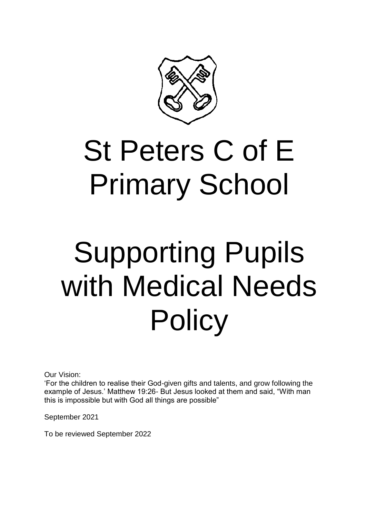

## St Peters C of E Primary School

# Supporting Pupils with Medical Needs **Policy**

Our Vision:

'For the children to realise their God-given gifts and talents, and grow following the example of Jesus.' Matthew 19:26- But Jesus looked at them and said, "With man this is impossible but with God all things are possible"

September 2021

To be reviewed September 2022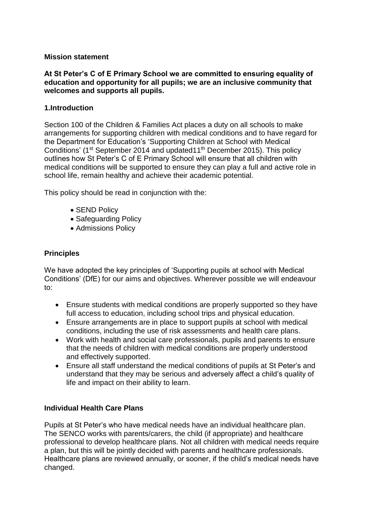#### **Mission statement**

#### **At St Peter's C of E Primary School we are committed to ensuring equality of education and opportunity for all pupils; we are an inclusive community that welcomes and supports all pupils.**

### **1.Introduction**

Section 100 of the Children & Families Act places a duty on all schools to make arrangements for supporting children with medical conditions and to have regard for the Department for Education's 'Supporting Children at School with Medical Conditions' (1<sup>st</sup> September 2014 and updated11<sup>th</sup> December 2015). This policy outlines how St Peter's C of E Primary School will ensure that all children with medical conditions will be supported to ensure they can play a full and active role in school life, remain healthy and achieve their academic potential.

This policy should be read in conjunction with the:

- SEND Policy
- Safeguarding Policy
- Admissions Policy

#### **Principles**

We have adopted the key principles of 'Supporting pupils at school with Medical Conditions' (DfE) for our aims and objectives. Wherever possible we will endeavour to:

- Ensure students with medical conditions are properly supported so they have full access to education, including school trips and physical education.
- Ensure arrangements are in place to support pupils at school with medical conditions, including the use of risk assessments and health care plans.
- Work with health and social care professionals, pupils and parents to ensure that the needs of children with medical conditions are properly understood and effectively supported.
- Ensure all staff understand the medical conditions of pupils at St Peter's and understand that they may be serious and adversely affect a child's quality of life and impact on their ability to learn.

#### **Individual Health Care Plans**

Pupils at St Peter's who have medical needs have an individual healthcare plan. The SENCO works with parents/carers, the child (if appropriate) and healthcare professional to develop healthcare plans. Not all children with medical needs require a plan, but this will be jointly decided with parents and healthcare professionals. Healthcare plans are reviewed annually, or sooner, if the child's medical needs have changed.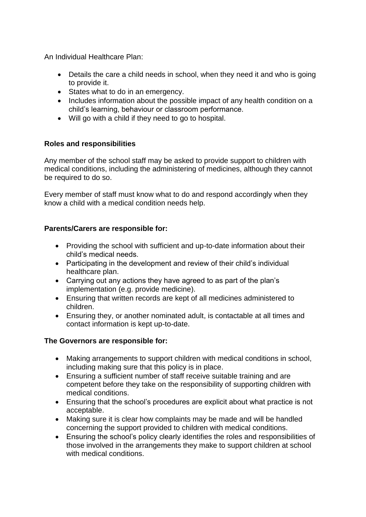An Individual Healthcare Plan:

- Details the care a child needs in school, when they need it and who is going to provide it.
- States what to do in an emergency.
- Includes information about the possible impact of any health condition on a child's learning, behaviour or classroom performance.
- Will go with a child if they need to go to hospital.

## **Roles and responsibilities**

Any member of the school staff may be asked to provide support to children with medical conditions, including the administering of medicines, although they cannot be required to do so.

Every member of staff must know what to do and respond accordingly when they know a child with a medical condition needs help.

## **Parents/Carers are responsible for:**

- Providing the school with sufficient and up-to-date information about their child's medical needs.
- Participating in the development and review of their child's individual healthcare plan.
- Carrying out any actions they have agreed to as part of the plan's implementation (e.g. provide medicine).
- Ensuring that written records are kept of all medicines administered to children.
- Ensuring they, or another nominated adult, is contactable at all times and contact information is kept up-to-date.

## **The Governors are responsible for:**

- Making arrangements to support children with medical conditions in school, including making sure that this policy is in place.
- Ensuring a sufficient number of staff receive suitable training and are competent before they take on the responsibility of supporting children with medical conditions.
- Ensuring that the school's procedures are explicit about what practice is not acceptable.
- Making sure it is clear how complaints may be made and will be handled concerning the support provided to children with medical conditions.
- Ensuring the school's policy clearly identifies the roles and responsibilities of those involved in the arrangements they make to support children at school with medical conditions.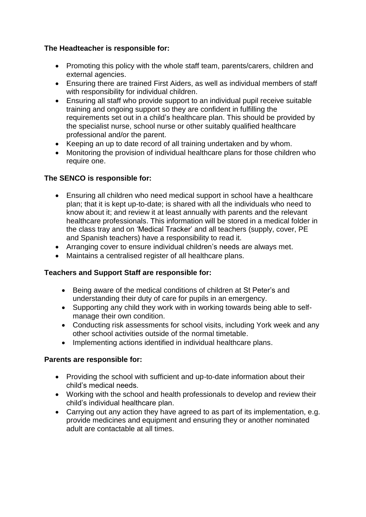## **The Headteacher is responsible for:**

- Promoting this policy with the whole staff team, parents/carers, children and external agencies.
- Ensuring there are trained First Aiders, as well as individual members of staff with responsibility for individual children.
- Ensuring all staff who provide support to an individual pupil receive suitable training and ongoing support so they are confident in fulfilling the requirements set out in a child's healthcare plan. This should be provided by the specialist nurse, school nurse or other suitably qualified healthcare professional and/or the parent.
- Keeping an up to date record of all training undertaken and by whom.
- Monitoring the provision of individual healthcare plans for those children who require one.

## **The SENCO is responsible for:**

- Ensuring all children who need medical support in school have a healthcare plan; that it is kept up-to-date; is shared with all the individuals who need to know about it; and review it at least annually with parents and the relevant healthcare professionals. This information will be stored in a medical folder in the class tray and on 'Medical Tracker' and all teachers (supply, cover, PE and Spanish teachers) have a responsibility to read it.
- Arranging cover to ensure individual children's needs are always met.
- Maintains a centralised register of all healthcare plans.

## **Teachers and Support Staff are responsible for:**

- Being aware of the medical conditions of children at St Peter's and understanding their duty of care for pupils in an emergency.
- Supporting any child they work with in working towards being able to selfmanage their own condition.
- Conducting risk assessments for school visits, including York week and any other school activities outside of the normal timetable.
- Implementing actions identified in individual healthcare plans.

## **Parents are responsible for:**

- Providing the school with sufficient and up-to-date information about their child's medical needs.
- Working with the school and health professionals to develop and review their child's individual healthcare plan.
- Carrying out any action they have agreed to as part of its implementation, e.g. provide medicines and equipment and ensuring they or another nominated adult are contactable at all times.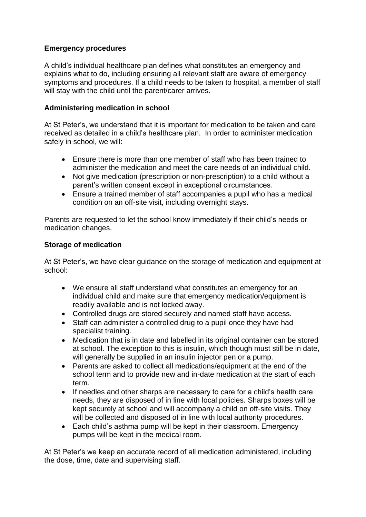### **Emergency procedures**

A child's individual healthcare plan defines what constitutes an emergency and explains what to do, including ensuring all relevant staff are aware of emergency symptoms and procedures. If a child needs to be taken to hospital, a member of staff will stay with the child until the parent/carer arrives.

#### **Administering medication in school**

At St Peter's, we understand that it is important for medication to be taken and care received as detailed in a child's healthcare plan. In order to administer medication safely in school, we will:

- Ensure there is more than one member of staff who has been trained to administer the medication and meet the care needs of an individual child.
- Not give medication (prescription or non-prescription) to a child without a parent's written consent except in exceptional circumstances.
- Ensure a trained member of staff accompanies a pupil who has a medical condition on an off-site visit, including overnight stays.

Parents are requested to let the school know immediately if their child's needs or medication changes.

#### **Storage of medication**

At St Peter's, we have clear guidance on the storage of medication and equipment at school:

- We ensure all staff understand what constitutes an emergency for an individual child and make sure that emergency medication/equipment is readily available and is not locked away.
- Controlled drugs are stored securely and named staff have access.
- Staff can administer a controlled drug to a pupil once they have had specialist training.
- Medication that is in date and labelled in its original container can be stored at school. The exception to this is insulin, which though must still be in date, will generally be supplied in an insulin injector pen or a pump.
- Parents are asked to collect all medications/equipment at the end of the school term and to provide new and in-date medication at the start of each term.
- If needles and other sharps are necessary to care for a child's health care needs, they are disposed of in line with local policies. Sharps boxes will be kept securely at school and will accompany a child on off-site visits. They will be collected and disposed of in line with local authority procedures.
- Each child's asthma pump will be kept in their classroom. Emergency pumps will be kept in the medical room.

At St Peter's we keep an accurate record of all medication administered, including the dose, time, date and supervising staff.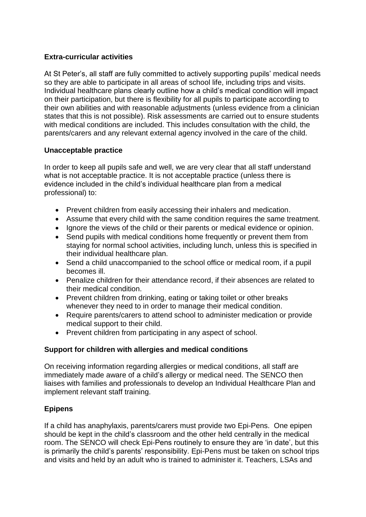### **Extra-curricular activities**

At St Peter's, all staff are fully committed to actively supporting pupils' medical needs so they are able to participate in all areas of school life, including trips and visits. Individual healthcare plans clearly outline how a child's medical condition will impact on their participation, but there is flexibility for all pupils to participate according to their own abilities and with reasonable adjustments (unless evidence from a clinician states that this is not possible). Risk assessments are carried out to ensure students with medical conditions are included. This includes consultation with the child, the parents/carers and any relevant external agency involved in the care of the child.

#### **Unacceptable practice**

In order to keep all pupils safe and well, we are very clear that all staff understand what is not acceptable practice. It is not acceptable practice (unless there is evidence included in the child's individual healthcare plan from a medical professional) to:

- Prevent children from easily accessing their inhalers and medication.
- Assume that every child with the same condition requires the same treatment.
- Ignore the views of the child or their parents or medical evidence or opinion.
- Send pupils with medical conditions home frequently or prevent them from staying for normal school activities, including lunch, unless this is specified in their individual healthcare plan.
- Send a child unaccompanied to the school office or medical room, if a pupil becomes ill.
- Penalize children for their attendance record, if their absences are related to their medical condition.
- Prevent children from drinking, eating or taking toilet or other breaks whenever they need to in order to manage their medical condition.
- Require parents/carers to attend school to administer medication or provide medical support to their child.
- Prevent children from participating in any aspect of school.

## **Support for children with allergies and medical conditions**

On receiving information regarding allergies or medical conditions, all staff are immediately made aware of a child's allergy or medical need. The SENCO then liaises with families and professionals to develop an Individual Healthcare Plan and implement relevant staff training.

## **Epipens**

If a child has anaphylaxis, parents/carers must provide two Epi-Pens. One epipen should be kept in the child's classroom and the other held centrally in the medical room. The SENCO will check Epi-Pens routinely to ensure they are 'in date', but this is primarily the child's parents' responsibility. Epi-Pens must be taken on school trips and visits and held by an adult who is trained to administer it. Teachers, LSAs and